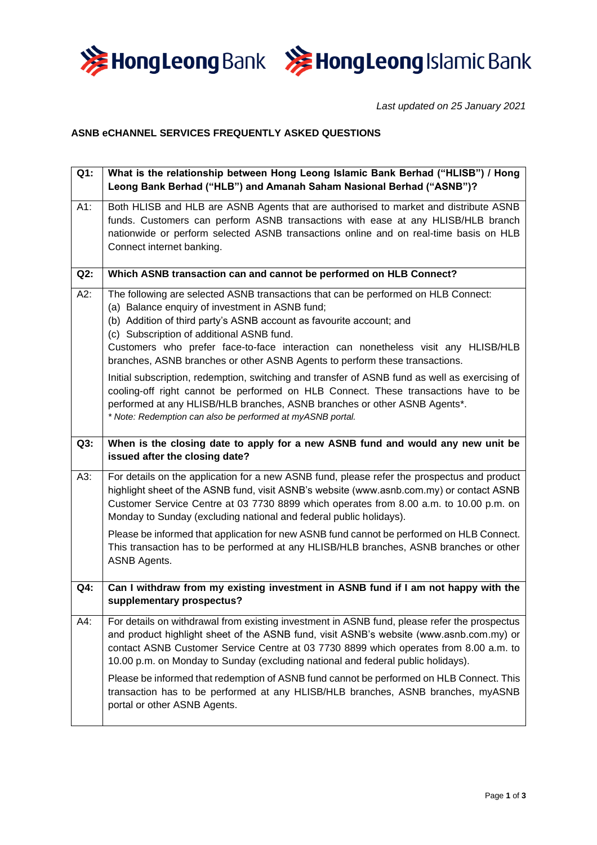



*Last updated on 25 January 2021*

## **ASNB eCHANNEL SERVICES FREQUENTLY ASKED QUESTIONS**

| Q1:    | What is the relationship between Hong Leong Islamic Bank Berhad ("HLISB") / Hong<br>Leong Bank Berhad ("HLB") and Amanah Saham Nasional Berhad ("ASNB")?                                                                                                                                                                                                                                                                       |  |
|--------|--------------------------------------------------------------------------------------------------------------------------------------------------------------------------------------------------------------------------------------------------------------------------------------------------------------------------------------------------------------------------------------------------------------------------------|--|
| $A1$ : | Both HLISB and HLB are ASNB Agents that are authorised to market and distribute ASNB<br>funds. Customers can perform ASNB transactions with ease at any HLISB/HLB branch<br>nationwide or perform selected ASNB transactions online and on real-time basis on HLB<br>Connect internet banking.                                                                                                                                 |  |
| Q2:    | Which ASNB transaction can and cannot be performed on HLB Connect?                                                                                                                                                                                                                                                                                                                                                             |  |
| A2:    | The following are selected ASNB transactions that can be performed on HLB Connect:<br>(a) Balance enquiry of investment in ASNB fund;<br>(b) Addition of third party's ASNB account as favourite account; and<br>(c) Subscription of additional ASNB fund.<br>Customers who prefer face-to-face interaction can nonetheless visit any HLISB/HLB<br>branches, ASNB branches or other ASNB Agents to perform these transactions. |  |
|        | Initial subscription, redemption, switching and transfer of ASNB fund as well as exercising of<br>cooling-off right cannot be performed on HLB Connect. These transactions have to be<br>performed at any HLISB/HLB branches, ASNB branches or other ASNB Agents*.<br>* Note: Redemption can also be performed at myASNB portal.                                                                                               |  |
| Q3:    | When is the closing date to apply for a new ASNB fund and would any new unit be<br>issued after the closing date?                                                                                                                                                                                                                                                                                                              |  |
| A3:    | For details on the application for a new ASNB fund, please refer the prospectus and product<br>highlight sheet of the ASNB fund, visit ASNB's website (www.asnb.com.my) or contact ASNB<br>Customer Service Centre at 03 7730 8899 which operates from 8.00 a.m. to 10.00 p.m. on<br>Monday to Sunday (excluding national and federal public holidays).                                                                        |  |
|        | Please be informed that application for new ASNB fund cannot be performed on HLB Connect.<br>This transaction has to be performed at any HLISB/HLB branches, ASNB branches or other<br><b>ASNB Agents.</b>                                                                                                                                                                                                                     |  |
| Q4:    | Can I withdraw from my existing investment in ASNB fund if I am not happy with the<br>supplementary prospectus?                                                                                                                                                                                                                                                                                                                |  |
| A4:    | For details on withdrawal from existing investment in ASNB fund, please refer the prospectus<br>and product highlight sheet of the ASNB fund, visit ASNB's website (www.asnb.com.my) or<br>contact ASNB Customer Service Centre at 03 7730 8899 which operates from 8.00 a.m. to<br>10.00 p.m. on Monday to Sunday (excluding national and federal public holidays).                                                           |  |
|        | Please be informed that redemption of ASNB fund cannot be performed on HLB Connect. This<br>transaction has to be performed at any HLISB/HLB branches, ASNB branches, myASNB<br>portal or other ASNB Agents.                                                                                                                                                                                                                   |  |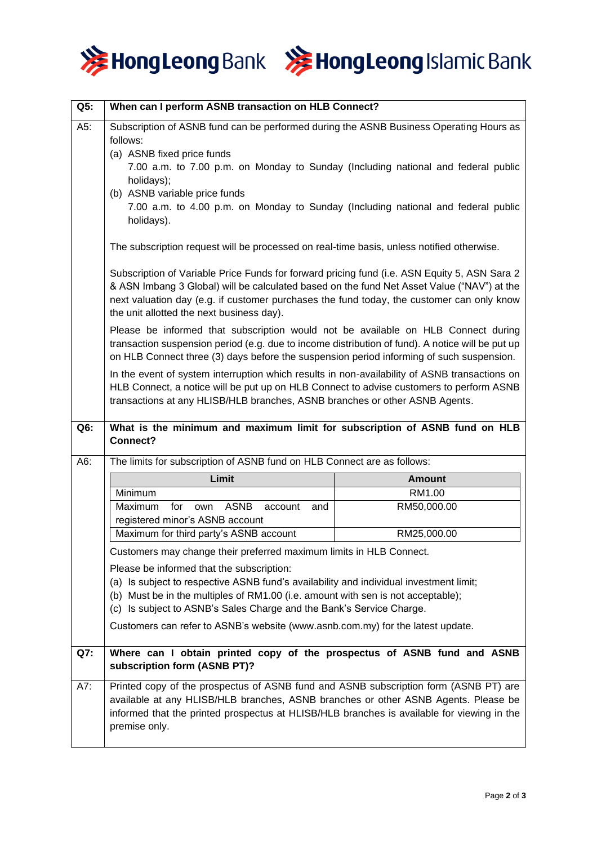



| Q5: | When can I perform ASNB transaction on HLB Connect?                                                                                                                                                                                                                                                                                                                               |               |  |
|-----|-----------------------------------------------------------------------------------------------------------------------------------------------------------------------------------------------------------------------------------------------------------------------------------------------------------------------------------------------------------------------------------|---------------|--|
| A5: | Subscription of ASNB fund can be performed during the ASNB Business Operating Hours as<br>follows:<br>(a) ASNB fixed price funds<br>7.00 a.m. to 7.00 p.m. on Monday to Sunday (Including national and federal public<br>holidays);<br>(b) ASNB variable price funds<br>7.00 a.m. to 4.00 p.m. on Monday to Sunday (Including national and federal public<br>holidays).           |               |  |
|     | The subscription request will be processed on real-time basis, unless notified otherwise.                                                                                                                                                                                                                                                                                         |               |  |
|     | Subscription of Variable Price Funds for forward pricing fund (i.e. ASN Equity 5, ASN Sara 2<br>& ASN Imbang 3 Global) will be calculated based on the fund Net Asset Value ("NAV") at the<br>next valuation day (e.g. if customer purchases the fund today, the customer can only know<br>the unit allotted the next business day).                                              |               |  |
|     | Please be informed that subscription would not be available on HLB Connect during<br>transaction suspension period (e.g. due to income distribution of fund). A notice will be put up<br>on HLB Connect three (3) days before the suspension period informing of such suspension.                                                                                                 |               |  |
|     | In the event of system interruption which results in non-availability of ASNB transactions on<br>HLB Connect, a notice will be put up on HLB Connect to advise customers to perform ASNB<br>transactions at any HLISB/HLB branches, ASNB branches or other ASNB Agents.                                                                                                           |               |  |
| Q6: | What is the minimum and maximum limit for subscription of ASNB fund on HLB<br>Connect?                                                                                                                                                                                                                                                                                            |               |  |
| A6: | The limits for subscription of ASNB fund on HLB Connect are as follows:                                                                                                                                                                                                                                                                                                           |               |  |
|     | Limit                                                                                                                                                                                                                                                                                                                                                                             | <b>Amount</b> |  |
|     | Minimum                                                                                                                                                                                                                                                                                                                                                                           | RM1.00        |  |
|     | Maximum<br>for<br>ASNB<br>account<br>own<br>and<br>registered minor's ASNB account                                                                                                                                                                                                                                                                                                | RM50,000.00   |  |
|     | Maximum for third party's ASNB account                                                                                                                                                                                                                                                                                                                                            | RM25,000.00   |  |
|     | Customers may change their preferred maximum limits in HLB Connect.                                                                                                                                                                                                                                                                                                               |               |  |
|     | Please be informed that the subscription:<br>(a) Is subject to respective ASNB fund's availability and individual investment limit;<br>(b) Must be in the multiples of RM1.00 (i.e. amount with sen is not acceptable);<br>(c) Is subject to ASNB's Sales Charge and the Bank's Service Charge.<br>Customers can refer to ASNB's website (www.asnb.com.my) for the latest update. |               |  |
| Q7: | Where can I obtain printed copy of the prospectus of ASNB fund and ASNB                                                                                                                                                                                                                                                                                                           |               |  |
|     | subscription form (ASNB PT)?                                                                                                                                                                                                                                                                                                                                                      |               |  |
| A7: | Printed copy of the prospectus of ASNB fund and ASNB subscription form (ASNB PT) are<br>available at any HLISB/HLB branches, ASNB branches or other ASNB Agents. Please be<br>informed that the printed prospectus at HLISB/HLB branches is available for viewing in the<br>premise only.                                                                                         |               |  |